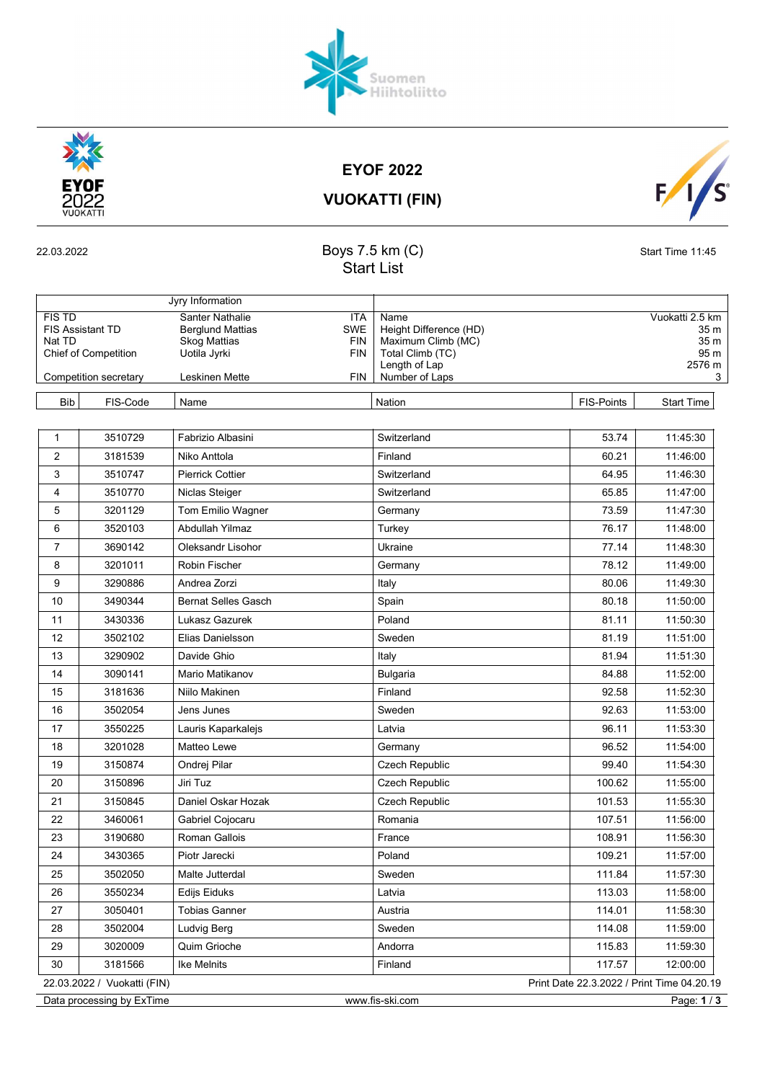VUOKATTI (FIN)

Start List

FIS TD Santer Nathalie **ITA Name ITA Name** Vuokatti 2.5 km FIS TD Santer Nathalie ITA Name ITA CHECK CHECK CHECK CHECK CHECK SKM Berglund Mattias SWE Height Difference (HD) 35 m Nat TD Skog Mattias FIN | Maximum Climb (MC) 35 m<br>Chief of Competition Uotila Jyrki FIN | Total Climb (TC) 95 m Chief of Competition Uotila Jyrki FIN Total Climb (TC) Chief of Competition 95 m<br>Length of Lap 19576 m

Competition secretary Leskinen Mette FIN Number of Laps 3

Length of Lap<br>Number of Laps

| <b>EYOF 2022</b>  |  |
|-------------------|--|
| VIDAIZATTI IFINIV |  |

| <b>Bib</b>     | FIS-Code | Name                       | Nation                | <b>FIS-Points</b> | <b>Start Time</b> |
|----------------|----------|----------------------------|-----------------------|-------------------|-------------------|
|                |          |                            |                       |                   |                   |
| $\mathbf{1}$   | 3510729  | Fabrizio Albasini          | Switzerland           | 53.74             | 11:45:30          |
| $\overline{2}$ | 3181539  | Niko Anttola               | Finland               | 60.21             | 11:46:00          |
| 3              | 3510747  | <b>Pierrick Cottier</b>    | Switzerland           | 64.95             | 11:46:30          |
| 4              | 3510770  | Niclas Steiger             | Switzerland           | 65.85             | 11:47:00          |
| 5              | 3201129  | Tom Emilio Wagner          | Germany               | 73.59             | 11:47:30          |
| 6              | 3520103  | Abdullah Yilmaz            | Turkey                | 76.17             | 11:48:00          |
| $\overline{7}$ | 3690142  | Oleksandr Lisohor          | Ukraine               | 77.14             | 11:48:30          |
| 8              | 3201011  | <b>Robin Fischer</b>       | Germany               | 78.12             | 11:49:00          |
| 9              | 3290886  | Andrea Zorzi               | Italy                 | 80.06             | 11:49:30          |
| 10             | 3490344  | <b>Bernat Selles Gasch</b> | Spain                 | 80.18             | 11:50:00          |
| 11             | 3430336  | Lukasz Gazurek             | Poland                | 81.11             | 11:50:30          |
| 12             | 3502102  | Elias Danielsson           | Sweden                | 81.19             | 11:51:00          |
| 13             | 3290902  | Davide Ghio                | Italy                 | 81.94             | 11:51:30          |
| 14             | 3090141  | Mario Matikanov            | Bulgaria              | 84.88             | 11:52:00          |
| 15             | 3181636  | Niilo Makinen              | Finland               | 92.58             | 11:52:30          |
| 16             | 3502054  | Jens Junes                 | Sweden                | 92.63             | 11:53:00          |
| 17             | 3550225  | Lauris Kaparkalejs         | Latvia                | 96.11             | 11:53:30          |
| 18             | 3201028  | Matteo Lewe                | Germany               | 96.52             | 11:54:00          |
| 19             | 3150874  | Ondrej Pilar               | Czech Republic        | 99.40             | 11:54:30          |
| 20             | 3150896  | Jiri Tuz                   | <b>Czech Republic</b> | 100.62            | 11:55:00          |
| 21             | 3150845  | Daniel Oskar Hozak         | Czech Republic        | 101.53            | 11:55:30          |
| 22             | 3460061  | Gabriel Cojocaru           | Romania               | 107.51            | 11:56:00          |
| 23             | 3190680  | Roman Gallois              | France                | 108.91            | 11:56:30          |
| 24             | 3430365  | Piotr Jarecki              | Poland                | 109.21            | 11:57:00          |
| 25             | 3502050  | Malte Jutterdal            | Sweden                | 111.84            | 11:57:30          |
| 26             | 3550234  | <b>Edijs Eiduks</b>        | Latvia                | 113.03            | 11:58:00          |
| 27             | 3050401  | <b>Tobias Ganner</b>       | Austria               | 114.01            | 11:58:30          |
| 28             | 3502004  | Ludvig Berg                | Sweden                | 114.08            | 11:59:00          |

Data processing by ExTime www.fis-ski.com Page: 1/3

29 3020009 Quim Grioche Andorra 115.83 11:59:30

30 3181566 Ike Melnits **Finland** Finland 117.57 12:00:00 22.03.2022 / Vuokatti (FIN) Print Date 22.3.2022 / Print Time 04.20.19

## 22.03.2022 **Boys 7.5 km (C)** Start Time 11:45







Jyry Information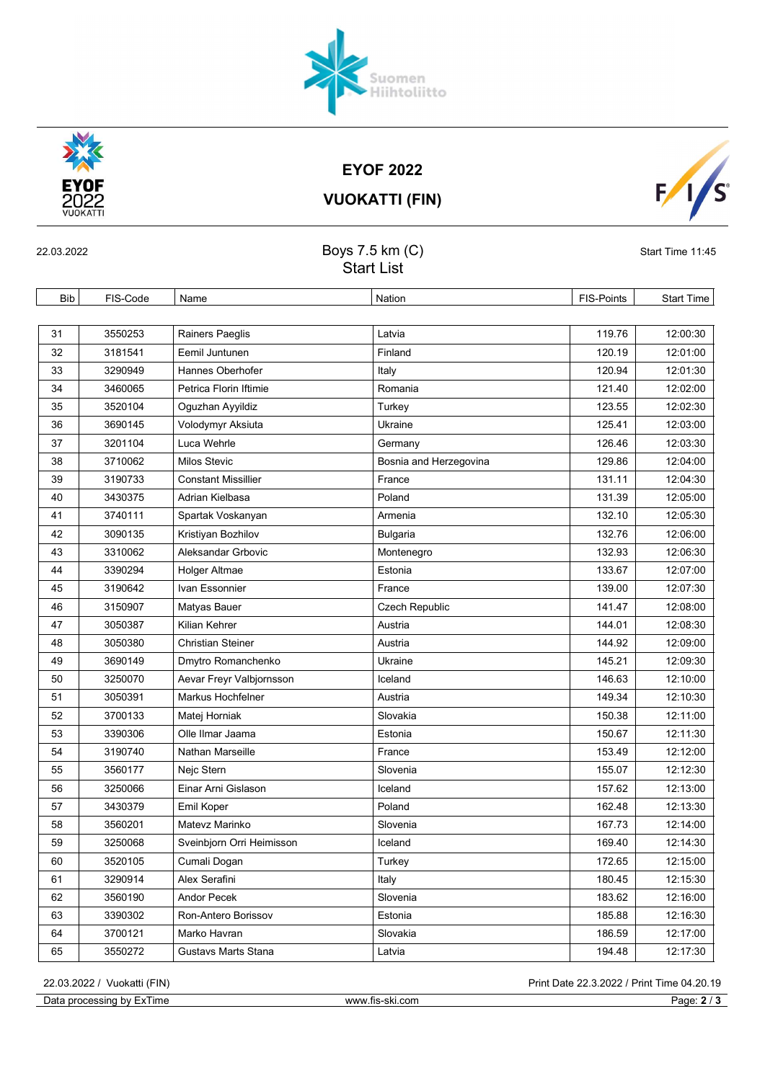Data processing by ExTime www.fis-ski.com Page: 2 / 3

VUOKATTI (FIN)

|            | <b>Start List</b> |                            |                        |            |                   |  |  |
|------------|-------------------|----------------------------|------------------------|------------|-------------------|--|--|
| <b>Bib</b> | FIS-Code          | Name                       | Nation                 | FIS-Points | <b>Start Time</b> |  |  |
|            |                   |                            |                        |            |                   |  |  |
| 31         | 3550253           | Rainers Paeglis            | Latvia                 | 119.76     | 12:00:30          |  |  |
| 32         | 3181541           | Eemil Juntunen             | Finland                | 120.19     | 12:01:00          |  |  |
| 33         | 3290949           | Hannes Oberhofer           | Italy                  | 120.94     | 12:01:30          |  |  |
| 34         | 3460065           | Petrica Florin Iftimie     | Romania                | 121.40     | 12:02:00          |  |  |
| 35         | 3520104           | Oguzhan Ayyildiz           | Turkey                 | 123.55     | 12:02:30          |  |  |
| 36         | 3690145           | Volodymyr Aksiuta          | Ukraine                | 125.41     | 12:03:00          |  |  |
| 37         | 3201104           | Luca Wehrle                | Germany                | 126.46     | 12:03:30          |  |  |
| 38         | 3710062           | Milos Stevic               | Bosnia and Herzegovina | 129.86     | 12:04:00          |  |  |
| 39         | 3190733           | <b>Constant Missillier</b> | France                 | 131.11     | 12:04:30          |  |  |
| 40         | 3430375           | Adrian Kielbasa            | Poland                 | 131.39     | 12:05:00          |  |  |
| 41         | 3740111           | Spartak Voskanyan          | Armenia                | 132.10     | 12:05:30          |  |  |
| 42         | 3090135           | Kristiyan Bozhilov         | <b>Bulgaria</b>        | 132.76     | 12:06:00          |  |  |
| 43         | 3310062           | Aleksandar Grbovic         | Montenegro             | 132.93     | 12:06:30          |  |  |
| 44         | 3390294           | Holger Altmae              | Estonia                | 133.67     | 12:07:00          |  |  |
| 45         | 3190642           | Ivan Essonnier             | France                 | 139.00     | 12:07:30          |  |  |
| 46         | 3150907           | Matyas Bauer               | Czech Republic         | 141.47     | 12:08:00          |  |  |
| 47         | 3050387           | Kilian Kehrer              | Austria                | 144.01     | 12:08:30          |  |  |
| 48         | 3050380           | <b>Christian Steiner</b>   | Austria                | 144.92     | 12:09:00          |  |  |
| 49         | 3690149           | Dmytro Romanchenko         | Ukraine                | 145.21     | 12:09:30          |  |  |
| 50         | 3250070           | Aevar Freyr Valbjornsson   | Iceland                | 146.63     | 12:10:00          |  |  |
| 51         | 3050391           | Markus Hochfelner          | Austria                | 149.34     | 12:10:30          |  |  |
| 52         | 3700133           | Matej Horniak              | Slovakia               | 150.38     | 12:11:00          |  |  |
| 53         | 3390306           | Olle Ilmar Jaama           | Estonia                | 150.67     | 12:11:30          |  |  |
| 54         | 3190740           | Nathan Marseille           | France                 | 153.49     | 12:12:00          |  |  |
| 55         | 3560177           | Nejc Stern                 | Slovenia               | 155.07     | 12:12:30          |  |  |
| 56         | 3250066           | Einar Arni Gislason        | Iceland                | 157.62     | 12:13:00          |  |  |
| 57         | 3430379           | Emil Koper                 | Poland                 | 162.48     | 12:13:30          |  |  |
| 58         | 3560201           | Matevz Marinko             | Slovenia               | 167.73     | 12:14:00          |  |  |
| 59         | 3250068           | Sveinbjorn Orri Heimisson  | Iceland                | 169.40     | 12:14:30          |  |  |
| 60         | 3520105           | Cumali Dogan               | Turkey                 | 172.65     | 12:15:00          |  |  |
| 61         | 3290914           | Alex Serafini              | Italy                  | 180.45     | 12:15:30          |  |  |
| 62         | 3560190           | Andor Pecek                | Slovenia               | 183.62     | 12:16:00          |  |  |
| 63         | 3390302           | Ron-Antero Borissov        | Estonia                | 185.88     | 12:16:30          |  |  |
| 64         | 3700121           | Marko Havran               | Slovakia               | 186.59     | 12:17:00          |  |  |
| 65         | 3550272           | Gustavs Marts Stana        | Latvia                 | 194.48     | 12:17:30          |  |  |

22.03.2022 Start Time 11:45

202

 $F/\sqrt{s}$